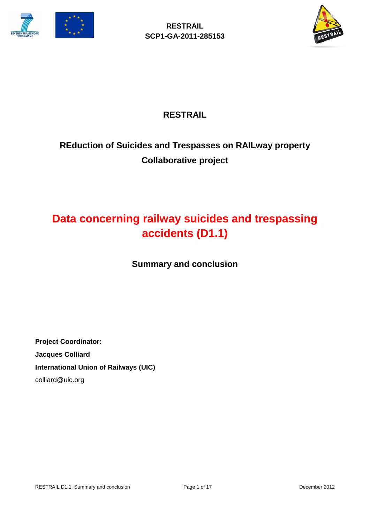



## **RESTRAIL**

# **REduction of Suicides and Trespasses on RAILway property Collaborative project**

# **Data concerning railway suicides and trespassing accidents (D1.1)**

**Summary and conclusion**

**Project Coordinator: Jacques Colliard International Union of Railways (UIC)** colliard@uic.org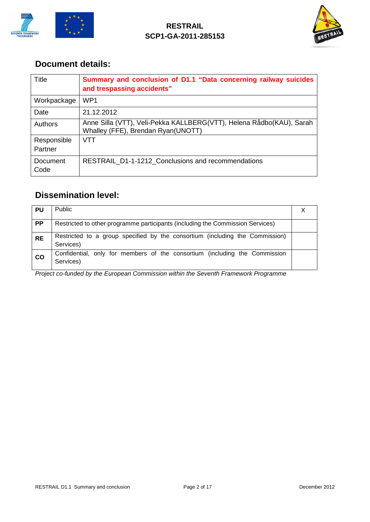



### **Document details:**

| Title                  | Summary and conclusion of D1.1 "Data concerning railway suicides<br>and trespassing accidents"             |
|------------------------|------------------------------------------------------------------------------------------------------------|
| Workpackage            | WP <sub>1</sub>                                                                                            |
| Date                   | 21.12.2012                                                                                                 |
| Authors                | Anne Silla (VTT), Veli-Pekka KALLBERG(VTT), Helena Rådbo(KAU), Sarah<br>Whalley (FFE), Brendan Ryan(UNOTT) |
| Responsible<br>Partner | VTT                                                                                                        |
| Document<br>Code       | <b>RESTRAIL D1-1-1212 Conclusions and recommendations</b>                                                  |

## **Dissemination level:**

| <b>PU</b> | <b>Public</b>                                                                             |  |
|-----------|-------------------------------------------------------------------------------------------|--|
| <b>PP</b> | Restricted to other programme participants (including the Commission Services)            |  |
| <b>RE</b> | Restricted to a group specified by the consortium (including the Commission)<br>Services) |  |
| co        | Confidential, only for members of the consortium (including the Commission<br>Services)   |  |

*Project co-funded by the European Commission within the Seventh Framework Programme*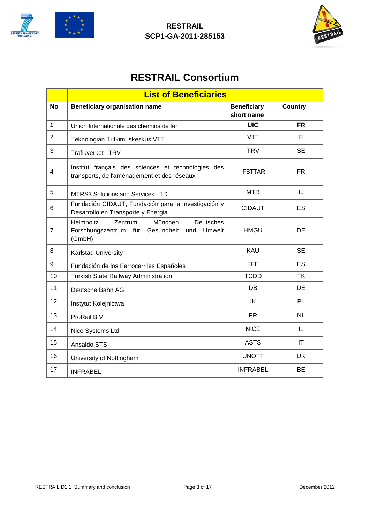



# **RESTRAIL Consortium**

|                | <b>List of Beneficiaries</b>                                                                                          |                                  |                |
|----------------|-----------------------------------------------------------------------------------------------------------------------|----------------------------------|----------------|
| <b>No</b>      | <b>Beneficiary organisation name</b>                                                                                  | <b>Beneficiary</b><br>short name | <b>Country</b> |
| $\mathbf{1}$   | Union Internationale des chemins de fer                                                                               | <b>UIC</b>                       | <b>FR</b>      |
| $\overline{2}$ | Teknologian Tutkimuskeskus VTT                                                                                        | <b>VTT</b>                       | FI.            |
| 3              | Trafikverket - TRV                                                                                                    | <b>TRV</b>                       | <b>SE</b>      |
| $\overline{4}$ | Institut français des sciences et technologies des<br>transports, de l'aménagement et des réseaux                     | <b>IFSTTAR</b>                   | <b>FR</b>      |
| 5              | <b>MTRS3 Solutions and Services LTD</b>                                                                               | <b>MTR</b>                       | IL             |
| 6              | Fundación CIDAUT, Fundación para la investigación y<br>Desarrollo en Transporte y Energia                             | <b>CIDAUT</b>                    | ES             |
| $\overline{7}$ | Zentrum<br>München<br><b>Deutsches</b><br>Helmholtz<br>Forschungszentrum für<br>Gesundheit<br>Umwelt<br>und<br>(GmbH) | <b>HMGU</b>                      | DE             |
| 8              | Karlstad University                                                                                                   | KAU                              | <b>SE</b>      |
| 9              | Fundación de los Ferrocarriles Españoles                                                                              | <b>FFE</b>                       | <b>ES</b>      |
| 10             | <b>Turkish State Railway Administration</b>                                                                           | <b>TCDD</b>                      | <b>TK</b>      |
| 11             | Deutsche Bahn AG                                                                                                      | DB                               | <b>DE</b>      |
| 12             | Instytut Kolejnictwa                                                                                                  | IK                               | <b>PL</b>      |
| 13             | ProRail B.V                                                                                                           | <b>PR</b>                        | <b>NL</b>      |
| 14             | Nice Systems Ltd                                                                                                      | <b>NICE</b>                      | IL             |
| 15             | Ansaldo STS                                                                                                           | <b>ASTS</b>                      | <b>IT</b>      |
| 16             | University of Nottingham                                                                                              | <b>UNOTT</b>                     | <b>UK</b>      |
| 17             | <b>INFRABEL</b>                                                                                                       | <b>INFRABEL</b>                  | <b>BE</b>      |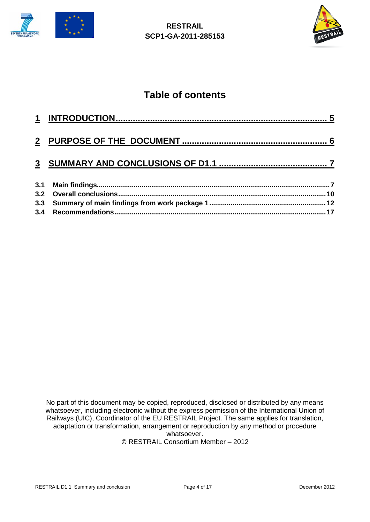



# **Table of contents**

| 3.3 |  |
|-----|--|
|     |  |

No part of this document may be copied, reproduced, disclosed or distributed by any means whatsoever, including electronic without the express permission of the International Union of Railways (UIC), Coordinator of the EU RESTRAIL Project. The same applies for translation, adaptation or transformation, arrangement or reproduction by any method or procedure whatsoever. © RESTRAIL Consortium Member – 2012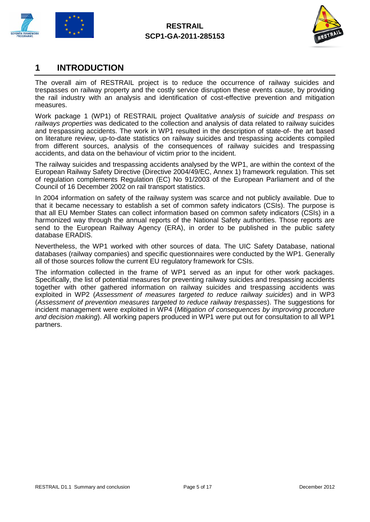



### <span id="page-4-0"></span>**1 INTRODUCTION**

The overall aim of RESTRAIL project is to reduce the occurrence of railway suicides and trespasses on railway property and the costly service disruption these events cause, by providing the rail industry with an analysis and identification of cost-effective prevention and mitigation measures.

Work package 1 (WP1) of RESTRAIL project *Qualitative analysis of suicide and trespass on railways properties* was dedicated to the collection and analysis of data related to railway suicides and trespassing accidents. The work in WP1 resulted in the description of state-of- the art based on literature review, up-to-date statistics on railway suicides and trespassing accidents compiled from different sources, analysis of the consequences of railway suicides and trespassing accidents, and data on the behaviour of victim prior to the incident.

The railway suicides and trespassing accidents analysed by the WP1, are within the context of the European Railway Safety Directive (Directive 2004/49/EC, Annex 1) framework regulation. This set of regulation complements Regulation (EC) No 91/2003 of the European Parliament and of the Council of 16 December 2002 on rail transport statistics.

In 2004 information on safety of the railway system was scarce and not publicly available. Due to that it became necessary to establish a set of common safety indicators (CSIs). The purpose is that all EU Member States can collect information based on common safety indicators (CSIs) in a harmonized way through the annual reports of the National Safety authorities. Those reports are send to the European Railway Agency (ERA), in order to be published in the public safety database ERADIS.

Nevertheless, the WP1 worked with other sources of data. The UIC Safety Database, national databases (railway companies) and specific questionnaires were conducted by the WP1. Generally all of those sources follow the current EU regulatory framework for CSIs.

The information collected in the frame of WP1 served as an input for other work packages. Specifically, the list of potential measures for preventing railway suicides and trespassing accidents together with other gathered information on railway suicides and trespassing accidents was exploited in WP2 (*Assessment of measures targeted to reduce railway suicides*) and in WP3 (*Assessment of prevention measures targeted to reduce railway trespasses*). The suggestions for incident management were exploited in WP4 (*Mitigation of consequences by improving procedure and decision making*). All working papers produced in WP1 were put out for consultation to all WP1 partners.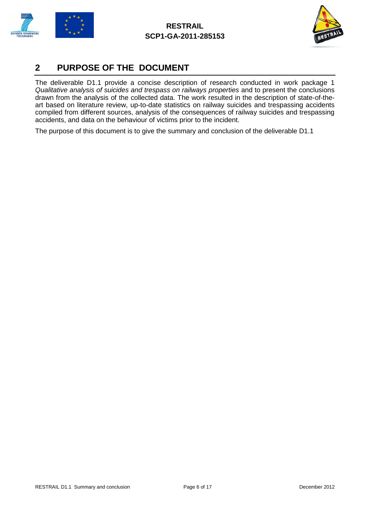



### <span id="page-5-0"></span>**2 PURPOSE OF THE DOCUMENT**

The deliverable D1.1 provide a concise description of research conducted in work package 1 *Qualitative analysis of suicides and trespass on railways properties* and to present the conclusions drawn from the analysis of the collected data. The work resulted in the description of state-of-theart based on literature review, up-to-date statistics on railway suicides and trespassing accidents compiled from different sources, analysis of the consequences of railway suicides and trespassing accidents, and data on the behaviour of victims prior to the incident.

The purpose of this document is to give the summary and conclusion of the deliverable D1.1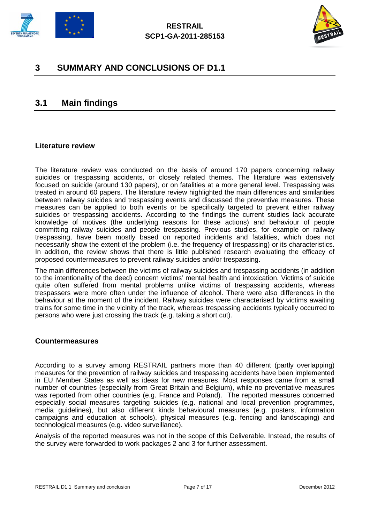



### <span id="page-6-0"></span>**3 SUMMARY AND CONCLUSIONS OF D1.1**

### <span id="page-6-1"></span>**3.1 Main findings**

#### **Literature review**

The literature review was conducted on the basis of around 170 papers concerning railway suicides or trespassing accidents, or closely related themes. The literature was extensively focused on suicide (around 130 papers), or on fatalities at a more general level. Trespassing was treated in around 60 papers. The literature review highlighted the main differences and similarities between railway suicides and trespassing events and discussed the preventive measures. These measures can be applied to both events or be specifically targeted to prevent either railway suicides or trespassing accidents. According to the findings the current studies lack accurate knowledge of motives (the underlying reasons for these actions) and behaviour of people committing railway suicides and people trespassing. Previous studies, for example on railway trespassing, have been mostly based on reported incidents and fatalities, which does not necessarily show the extent of the problem (i.e. the frequency of trespassing) or its characteristics. In addition, the review shows that there is little published research evaluating the efficacy of proposed countermeasures to prevent railway suicides and/or trespassing.

The main differences between the victims of railway suicides and trespassing accidents (in addition to the intentionality of the deed) concern victims' mental health and intoxication. Victims of suicide quite often suffered from mental problems unlike victims of trespassing accidents, whereas trespassers were more often under the influence of alcohol. There were also differences in the behaviour at the moment of the incident. Railway suicides were characterised by victims awaiting trains for some time in the vicinity of the track, whereas trespassing accidents typically occurred to persons who were just crossing the track (e.g. taking a short cut).

#### **Countermeasures**

According to a survey among RESTRAIL partners more than 40 different (partly overlapping) measures for the prevention of railway suicides and trespassing accidents have been implemented in EU Member States as well as ideas for new measures. Most responses came from a small number of countries (especially from Great Britain and Belgium), while no preventative measures was reported from other countries (e.g. France and Poland). The reported measures concerned especially social measures targeting suicides (e.g. national and local prevention programmes, media guidelines), but also different kinds behavioural measures (e.g. posters, information campaigns and education at schools), physical measures (e.g. fencing and landscaping) and technological measures (e.g. video surveillance).

Analysis of the reported measures was not in the scope of this Deliverable. Instead, the results of the survey were forwarded to work packages 2 and 3 for further assessment.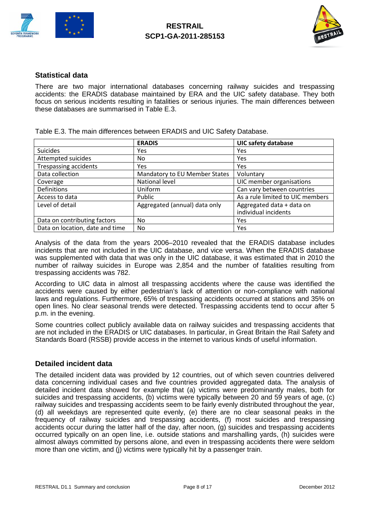



#### **Statistical data**

There are two major international databases concerning railway suicides and trespassing accidents: the ERADIS database maintained by ERA and the UIC safety database. They both focus on serious incidents resulting in fatalities or serious injuries. The main differences between these databases are summarised in Table E.3.

|                                 | <b>ERADIS</b>                 | <b>UIC safety database</b>       |
|---------------------------------|-------------------------------|----------------------------------|
| <b>Suicides</b>                 | Yes                           | Yes                              |
| Attempted suicides              | No                            | Yes                              |
| <b>Trespassing accidents</b>    | Yes                           | <b>Yes</b>                       |
| Data collection                 | Mandatory to EU Member States | Voluntary                        |
| Coverage                        | National level                | UIC member organisations         |
| <b>Definitions</b>              | Uniform                       | Can vary between countries       |
| Access to data                  | Public                        | As a rule limited to UIC members |
| Level of detail                 | Aggregated (annual) data only | Aggregated data + data on        |
|                                 |                               | individual incidents             |
| Data on contributing factors    | No.                           | Yes                              |
| Data on location, date and time | No.                           | Yes                              |

Table E.3. The main differences between ERADIS and UIC Safety Database.

Analysis of the data from the years 2006–2010 revealed that the ERADIS database includes incidents that are not included in the UIC database, and vice versa. When the ERADIS database was supplemented with data that was only in the UIC database, it was estimated that in 2010 the number of railway suicides in Europe was 2,854 and the number of fatalities resulting from trespassing accidents was 782.

According to UIC data in almost all trespassing accidents where the cause was identified the accidents were caused by either pedestrian's lack of attention or non-compliance with national laws and regulations. Furthermore, 65% of trespassing accidents occurred at stations and 35% on open lines. No clear seasonal trends were detected. Trespassing accidents tend to occur after 5 p.m. in the evening.

Some countries collect publicly available data on railway suicides and trespassing accidents that are not included in the ERADIS or UIC databases. In particular, in Great Britain the Rail Safety and Standards Board (RSSB) provide access in the internet to various kinds of useful information.

#### **Detailed incident data**

The detailed incident data was provided by 12 countries, out of which seven countries delivered data concerning individual cases and five countries provided aggregated data. The analysis of detailed incident data showed for example that (a) victims were predominantly males, both for suicides and trespassing accidents, (b) victims were typically between 20 and 59 years of age, (c) railway suicides and trespassing accidents seem to be fairly evenly distributed throughout the year, (d) all weekdays are represented quite evenly, (e) there are no clear seasonal peaks in the frequency of railway suicides and trespassing accidents, (f) most suicides and trespassing accidents occur during the latter half of the day, after noon, (g) suicides and trespassing accidents occurred typically on an open line, i.e. outside stations and marshalling yards, (h) suicides were almost always committed by persons alone, and even in trespassing accidents there were seldom more than one victim, and (j) victims were typically hit by a passenger train.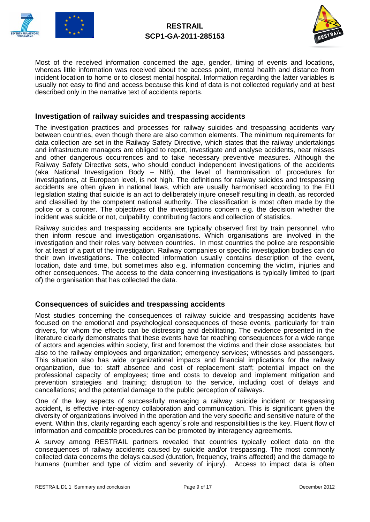



Most of the received information concerned the age, gender, timing of events and locations, whereas little information was received about the access point, mental health and distance from incident location to home or to closest mental hospital. Information regarding the latter variables is usually not easy to find and access because this kind of data is not collected regularly and at best described only in the narrative text of accidents reports.

#### **Investigation of railway suicides and trespassing accidents**

The investigation practices and processes for railway suicides and trespassing accidents vary between countries, even though there are also common elements. The minimum requirements for data collection are set in the Railway Safety Directive, which states that the railway undertakings and infrastructure managers are obliged to report, investigate and analyse accidents, near misses and other dangerous occurrences and to take necessary preventive measures. Although the Railway Safety Directive sets, who should conduct independent investigations of the accidents (aka National Investigation Body – NIB), the level of harmonisation of procedures for investigations, at European level, is not high. The definitions for railway suicides and trespassing accidents are often given in national laws, which are usually harmonised according to the EU legislation stating that suicide is an act to deliberately injure oneself resulting in death, as recorded and classified by the competent national authority. The classification is most often made by the police or a coroner. The objectives of the investigations concern e.g. the decision whether the incident was suicide or not, culpability, contributing factors and collection of statistics.

Railway suicides and trespassing accidents are typically observed first by train personnel, who then inform rescue and investigation organisations. Which organisations are involved in the investigation and their roles vary between countries. In most countries the police are responsible for at least of a part of the investigation. Railway companies or specific investigation bodies can do their own investigations. The collected information usually contains description of the event, location, date and time, but sometimes also e.g. information concerning the victim, injuries and other consequences. The access to the data concerning investigations is typically limited to (part of) the organisation that has collected the data.

#### **Consequences of suicides and trespassing accidents**

Most studies concerning the consequences of railway suicide and trespassing accidents have focused on the emotional and psychological consequences of these events, particularly for train drivers, for whom the effects can be distressing and debilitating. The evidence presented in the literature clearly demonstrates that these events have far reaching consequences for a wide range of actors and agencies within society, first and foremost the victims and their close associates, but also to the railway employees and organization; emergency services; witnesses and passengers. This situation also has wide organizational impacts and financial implications for the railway organization, due to: staff absence and cost of replacement staff; potential impact on the professional capacity of employees; time and costs to develop and implement mitigation and prevention strategies and training; disruption to the service, including cost of delays and cancellations; and the potential damage to the public perception of railways.

One of the key aspects of successfully managing a railway suicide incident or trespassing accident, is effective inter-agency collaboration and communication. This is significant given the diversity of organizations involved in the operation and the very specific and sensitive nature of the event. Within this, clarity regarding each agency´s role and responsibilities is the key. Fluent flow of information and compatible procedures can be promoted by interagency agreements.

A survey among RESTRAIL partners revealed that countries typically collect data on the consequences of railway accidents caused by suicide and/or trespassing. The most commonly collected data concerns the delays caused (duration, frequency, trains affected) and the damage to humans (number and type of victim and severity of injury). Access to impact data is often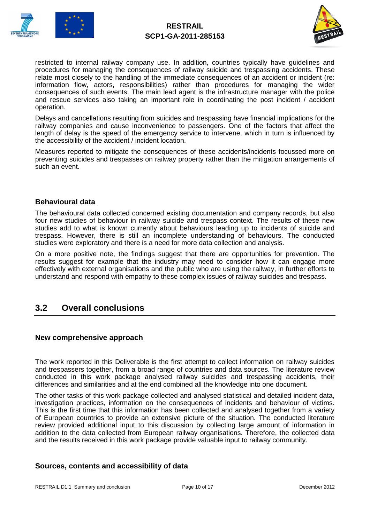



restricted to internal railway company use. In addition, countries typically have guidelines and procedures for managing the consequences of railway suicide and trespassing accidents. These relate most closely to the handling of the immediate consequences of an accident or incident (re: information flow, actors, responsibilities) rather than procedures for managing the wider consequences of such events. The main lead agent is the infrastructure manager with the police and rescue services also taking an important role in coordinating the post incident / accident operation.

Delays and cancellations resulting from suicides and trespassing have financial implications for the railway companies and cause inconvenience to passengers. One of the factors that affect the length of delay is the speed of the emergency service to intervene, which in turn is influenced by the accessibility of the accident / incident location.

Measures reported to mitigate the consequences of these accidents/incidents focussed more on preventing suicides and trespasses on railway property rather than the mitigation arrangements of such an event.

#### **Behavioural data**

The behavioural data collected concerned existing documentation and company records, but also four new studies of behaviour in railway suicide and trespass context. The results of these new studies add to what is known currently about behaviours leading up to incidents of suicide and trespass. However, there is still an incomplete understanding of behaviours. The conducted studies were exploratory and there is a need for more data collection and analysis.

On a more positive note, the findings suggest that there are opportunities for prevention. The results suggest for example that the industry may need to consider how it can engage more effectively with external organisations and the public who are using the railway, in further efforts to understand and respond with empathy to these complex issues of railway suicides and trespass.

### <span id="page-9-0"></span>**3.2 Overall conclusions**

#### **New comprehensive approach**

The work reported in this Deliverable is the first attempt to collect information on railway suicides and trespassers together, from a broad range of countries and data sources. The literature review conducted in this work package analysed railway suicides and trespassing accidents, their differences and similarities and at the end combined all the knowledge into one document.

The other tasks of this work package collected and analysed statistical and detailed incident data, investigation practices, information on the consequences of incidents and behaviour of victims. This is the first time that this information has been collected and analysed together from a variety of European countries to provide an extensive picture of the situation. The conducted literature review provided additional input to this discussion by collecting large amount of information in addition to the data collected from European railway organisations. Therefore, the collected data and the results received in this work package provide valuable input to railway community.

#### **Sources, contents and accessibility of data**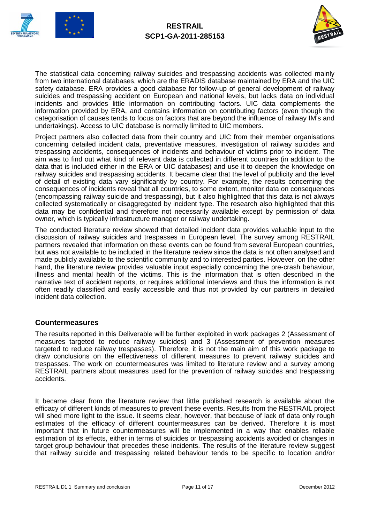



The statistical data concerning railway suicides and trespassing accidents was collected mainly from two international databases, which are the ERADIS database maintained by ERA and the UIC safety database. ERA provides a good database for follow-up of general development of railway suicides and trespassing accident on European and national levels, but lacks data on individual incidents and provides little information on contributing factors. UIC data complements the information provided by ERA, and contains information on contributing factors (even though the categorisation of causes tends to focus on factors that are beyond the influence of railway IM's and undertakings). Access to UIC database is normally limited to UIC members.

Project partners also collected data from their country and UIC from their member organisations concerning detailed incident data, preventative measures, investigation of railway suicides and trespassing accidents, consequences of incidents and behaviour of victims prior to incident. The aim was to find out what kind of relevant data is collected in different countries (in addition to the data that is included either in the ERA or UIC databases) and use it to deepen the knowledge on railway suicides and trespassing accidents. It became clear that the level of publicity and the level of detail of existing data vary significantly by country. For example, the results concerning the consequences of incidents reveal that all countries, to some extent, monitor data on consequences (encompassing railway suicide and trespassing), but it also highlighted that this data is not always collected systematically or disaggregated by incident type. The research also highlighted that this data may be confidential and therefore not necessarily available except by permission of data owner, which is typically infrastructure manager or railway undertaking.

The conducted literature review showed that detailed incident data provides valuable input to the discussion of railway suicides and trespasses in European level. The survey among RESTRAIL partners revealed that information on these events can be found from several European countries, but was not available to be included in the literature review since the data is not often analysed and made publicly available to the scientific community and to interested parties. However, on the other hand, the literature review provides valuable input especially concerning the pre-crash behaviour, illness and mental health of the victims. This is the information that is often described in the narrative text of accident reports, or requires additional interviews and thus the information is not often readily classified and easily accessible and thus not provided by our partners in detailed incident data collection.

#### **Countermeasures**

The results reported in this Deliverable will be further exploited in work packages 2 (Assessment of measures targeted to reduce railway suicides) and 3 (Assessment of prevention measures targeted to reduce railway trespasses). Therefore, it is not the main aim of this work package to draw conclusions on the effectiveness of different measures to prevent railway suicides and trespasses. The work on countermeasures was limited to literature review and a survey among RESTRAIL partners about measures used for the prevention of railway suicides and trespassing accidents.

It became clear from the literature review that little published research is available about the efficacy of different kinds of measures to prevent these events. Results from the RESTRAIL project will shed more light to the issue. It seems clear, however, that because of lack of data only rough estimates of the efficacy of different countermeasures can be derived. Therefore it is most important that in future countermeasures will be implemented in a way that enables reliable estimation of its effects, either in terms of suicides or trespassing accidents avoided or changes in target group behaviour that precedes these incidents. The results of the literature review suggest that railway suicide and trespassing related behaviour tends to be specific to location and/or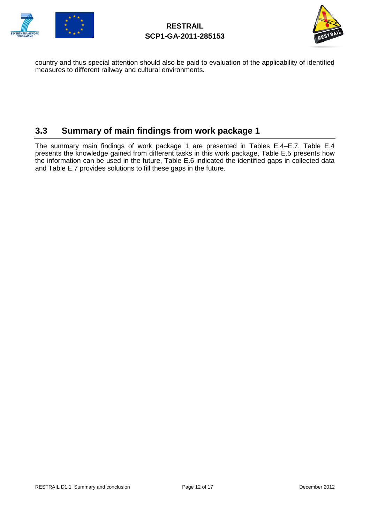



country and thus special attention should also be paid to evaluation of the applicability of identified measures to different railway and cultural environments.

### <span id="page-11-0"></span>**3.3 Summary of main findings from work package 1**

The summary main findings of work package 1 are presented in Tables E.4–E.7. Table E.4 presents the knowledge gained from different tasks in this work package, Table E.5 presents how the information can be used in the future, Table E.6 indicated the identified gaps in collected data and Table E.7 provides solutions to fill these gaps in the future.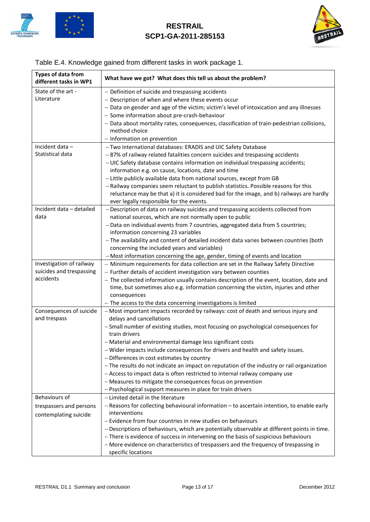



### Table E.4. Knowledge gained from different tasks in work package 1.

| <b>Types of data from</b><br>different tasks in WP1 | What have we got? What does this tell us about the problem?                                                                                          |
|-----------------------------------------------------|------------------------------------------------------------------------------------------------------------------------------------------------------|
| State of the art -                                  | - Definition of suicide and trespassing accidents                                                                                                    |
| Literature                                          | - Description of when and where these events occur                                                                                                   |
|                                                     | - Data on gender and age of the victim; victim's level of intoxication and any illnesses                                                             |
|                                                     | - Some information about pre-crash-behaviour                                                                                                         |
|                                                     | - Data about mortality rates, consequences, classification of train-pedestrian collisions,                                                           |
|                                                     | method choice                                                                                                                                        |
|                                                     | - Information on prevention                                                                                                                          |
| Incident data-                                      | - Two international databases: ERADIS and UIC Safety Database                                                                                        |
| Statistical data                                    | -87% of railway related fatalities concern suicides and trespassing accidents                                                                        |
|                                                     | - UIC Safety database contains information on individual trespassing accidents;                                                                      |
|                                                     | information e.g. on cause, locations, date and time                                                                                                  |
|                                                     | - Little publicly available data from national sources, except from GB                                                                               |
|                                                     | - Railway companies seem reluctant to publish statistics. Possible reasons for this                                                                  |
|                                                     | reluctance may be that a) it is considered bad for the image, and b) railways are hardly                                                             |
|                                                     | ever legally responsible for the events.                                                                                                             |
| Incident data - detailed<br>data                    | - Description of data on railway suicides and trespassing accidents collected from<br>national sources, which are not normally open to public        |
|                                                     | - Data on individual events from 7 countries, aggregated data from 5 countries;                                                                      |
|                                                     | information concerning 23 variables                                                                                                                  |
|                                                     | - The availability and content of detailed incident data varies between countries (both                                                              |
|                                                     | concerning the included years and variables)                                                                                                         |
|                                                     | - Most information concerning the age, gender, timing of events and location                                                                         |
| Investigation of railway                            | - Minimum requirements for data collection are set in the Railway Safety Directive                                                                   |
| suicides and trespassing                            | - Further details of accident investigation vary between counties                                                                                    |
| accidents                                           | - The collected information usually contains description of the event, location, date and                                                            |
|                                                     | time, but sometimes also e.g. information concerning the victim, injuries and other                                                                  |
|                                                     | consequences                                                                                                                                         |
| Consequences of suicide                             | - The access to the data concerning investigations is limited<br>- Most important impacts recorded by railways: cost of death and serious injury and |
| and trespass                                        | delays and cancellations                                                                                                                             |
|                                                     | - Small number of existing studies, most focusing on psychological consequences for                                                                  |
|                                                     | train drivers                                                                                                                                        |
|                                                     | - Material and environmental damage less significant costs                                                                                           |
|                                                     | - Wider impacts include consequences for drivers and health and safety issues.                                                                       |
|                                                     | - Differences in cost estimates by country                                                                                                           |
|                                                     | - The results do not indicate an impact on reputation of the industry or rail organization                                                           |
|                                                     | - Access to impact data is often restricted to internal railway company use                                                                          |
|                                                     | - Measures to mitigate the consequences focus on prevention                                                                                          |
|                                                     | - Psychological support measures in place for train drivers                                                                                          |
| Behaviours of                                       | - Limited detail in the literature                                                                                                                   |
| trespassers and persons                             | - Reasons for collecting behavioural information - to ascertain intention, to enable early                                                           |
| contemplating suicide                               | interventions                                                                                                                                        |
|                                                     | - Evidence from four countries in new studies on behaviours                                                                                          |
|                                                     | - Descriptions of behaviours, which are potentially observable at different points in time.                                                          |
|                                                     | - There is evidence of success in intervening on the basis of suspicious behaviours                                                                  |
|                                                     | - More evidence on characteristics of trespassers and the frequency of trespassing in                                                                |
|                                                     | specific locations                                                                                                                                   |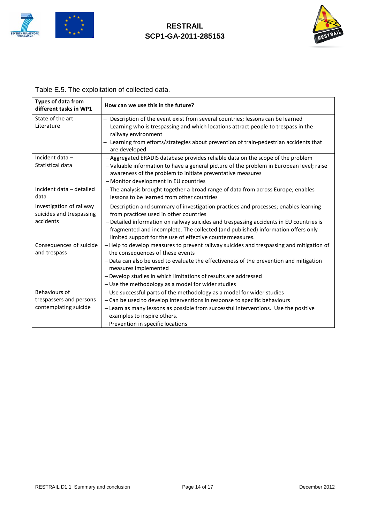



### Table E.5. The exploitation of collected data.

| <b>Types of data from</b><br>different tasks in WP1               | How can we use this in the future?                                                                                                                                                                                                       |
|-------------------------------------------------------------------|------------------------------------------------------------------------------------------------------------------------------------------------------------------------------------------------------------------------------------------|
| State of the art -                                                | - Description of the event exist from several countries; lessons can be learned                                                                                                                                                          |
| Literature                                                        | - Learning who is trespassing and which locations attract people to trespass in the<br>railway environment<br>- Learning from efforts/strategies about prevention of train-pedestrian accidents that<br>are developed                    |
| Incident data -                                                   | - Aggregated ERADIS database provides reliable data on the scope of the problem                                                                                                                                                          |
| Statistical data                                                  | - Valuable information to have a general picture of the problem in European level; raise<br>awareness of the problem to initiate preventative measures<br>- Monitor development in EU countries                                          |
| Incident data - detailed<br>data                                  | - The analysis brought together a broad range of data from across Europe; enables<br>lessons to be learned from other countries                                                                                                          |
| Investigation of railway<br>suicides and trespassing<br>accidents | - Description and summary of investigation practices and processes; enables learning<br>from practices used in other countries                                                                                                           |
|                                                                   | - Detailed information on railway suicides and trespassing accidents in EU countries is<br>fragmented and incomplete. The collected (and published) information offers only<br>limited support for the use of effective countermeasures. |
| Consequences of suicide<br>and trespass                           | - Help to develop measures to prevent railway suicides and trespassing and mitigation of<br>the consequences of these events                                                                                                             |
|                                                                   | - Data can also be used to evaluate the effectiveness of the prevention and mitigation<br>measures implemented                                                                                                                           |
|                                                                   | - Develop studies in which limitations of results are addressed                                                                                                                                                                          |
|                                                                   | - Use the methodology as a model for wider studies                                                                                                                                                                                       |
| Behaviours of                                                     | - Use successful parts of the methodology as a model for wider studies                                                                                                                                                                   |
| trespassers and persons                                           | - Can be used to develop interventions in response to specific behaviours                                                                                                                                                                |
| contemplating suicide                                             | - Learn as many lessons as possible from successful interventions. Use the positive<br>examples to inspire others.                                                                                                                       |
|                                                                   | - Prevention in specific locations                                                                                                                                                                                                       |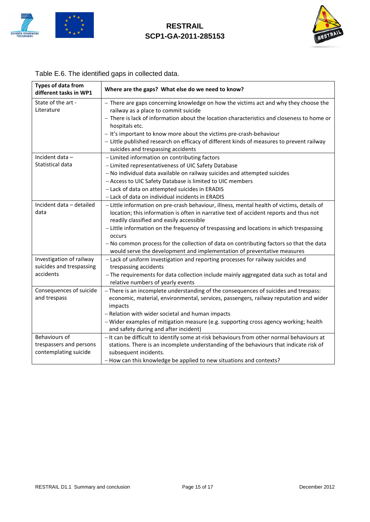



| <b>Types of data from</b><br>different tasks in WP1 | Where are the gaps? What else do we need to know?                                          |
|-----------------------------------------------------|--------------------------------------------------------------------------------------------|
| State of the art -                                  | - There are gaps concerning knowledge on how the victims act and why they choose the       |
| Literature                                          | railway as a place to commit suicide                                                       |
|                                                     | - There is lack of information about the location characteristics and closeness to home or |
|                                                     | hospitals etc.                                                                             |
|                                                     | - It's important to know more about the victims pre-crash-behaviour                        |
|                                                     | - Little published research on efficacy of different kinds of measures to prevent railway  |
|                                                     | suicides and trespassing accidents                                                         |
| Incident data-                                      | - Limited information on contributing factors                                              |
| Statistical data                                    | - Limited representativeness of UIC Safety Database                                        |
|                                                     | - No individual data available on railway suicides and attempted suicides                  |
|                                                     | - Access to UIC Safety Database is limited to UIC members                                  |
|                                                     | - Lack of data on attempted suicides in ERADIS                                             |
|                                                     | - Lack of data on individual incidents in ERADIS                                           |
| Incident data - detailed                            | - Little information on pre-crash behaviour, illness, mental health of victims, details of |
| data                                                | location; this information is often in narrative text of accident reports and thus not     |
|                                                     | readily classified and easily accessible                                                   |
|                                                     | - Little information on the frequency of trespassing and locations in which trespassing    |
|                                                     | occurs                                                                                     |
|                                                     | - No common process for the collection of data on contributing factors so that the data    |
|                                                     | would serve the development and implementation of preventative measures                    |
| Investigation of railway                            | - Lack of uniform investigation and reporting processes for railway suicides and           |
| suicides and trespassing                            | trespassing accidents                                                                      |
| accidents                                           | - The requirements for data collection include mainly aggregated data such as total and    |
|                                                     | relative numbers of yearly events                                                          |
| Consequences of suicide                             | - There is an incomplete understanding of the consequences of suicides and trespass:       |
| and trespass                                        | economic, material, environmental, services, passengers, railway reputation and wider      |
|                                                     | impacts                                                                                    |
|                                                     | - Relation with wider societal and human impacts                                           |
|                                                     | - Wider examples of mitigation measure (e.g. supporting cross agency working; health       |
|                                                     | and safety during and after incident)                                                      |
| Behaviours of                                       | - It can be difficult to identify some at-risk behaviours from other normal behaviours at  |
| trespassers and persons                             | stations. There is an incomplete understanding of the behaviours that indicate risk of     |
| contemplating suicide                               | subsequent incidents.                                                                      |
|                                                     | - How can this knowledge be applied to new situations and contexts?                        |

### Table E.6. The identified gaps in collected data.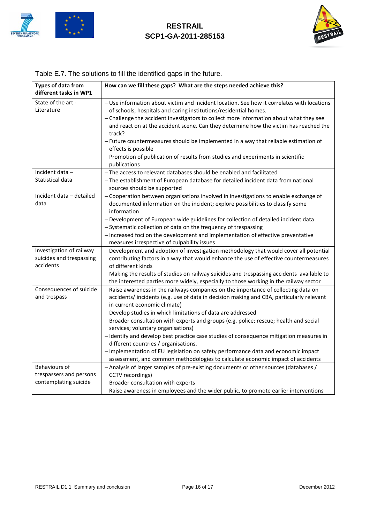



| <b>Types of data from</b><br>different tasks in WP1                      | How can we fill these gaps? What are the steps needed achieve this?                                                                                                                                                                                                                                                                                                                                                                                                                                                                                                                                                                                                                                                      |
|--------------------------------------------------------------------------|--------------------------------------------------------------------------------------------------------------------------------------------------------------------------------------------------------------------------------------------------------------------------------------------------------------------------------------------------------------------------------------------------------------------------------------------------------------------------------------------------------------------------------------------------------------------------------------------------------------------------------------------------------------------------------------------------------------------------|
| State of the art -<br>Literature                                         | - Use information about victim and incident location. See how it correlates with locations<br>of schools, hospitals and caring institutions/residential homes.<br>- Challenge the accident investigators to collect more information about what they see<br>and react on at the accident scene. Can they determine how the victim has reached the<br>track?<br>- Future countermeasures should be implemented in a way that reliable estimation of<br>effects is possible<br>- Promotion of publication of results from studies and experiments in scientific<br>publications                                                                                                                                            |
| Incident data-<br>Statistical data                                       | - The access to relevant databases should be enabled and facilitated<br>- The establishment of European database for detailed incident data from national<br>sources should be supported                                                                                                                                                                                                                                                                                                                                                                                                                                                                                                                                 |
| Incident data - detailed<br>data                                         | - Cooperation between organisations involved in investigations to enable exchange of<br>documented information on the incident; explore possibilities to classify some<br>information<br>- Development of European wide guidelines for collection of detailed incident data<br>- Systematic collection of data on the frequency of trespassing<br>- Increased foci on the development and implementation of effective preventative<br>measures irrespective of culpability issues                                                                                                                                                                                                                                        |
| Investigation of railway<br>suicides and trespassing<br>accidents        | - Development and adoption of investigation methodology that would cover all potential<br>contributing factors in a way that would enhance the use of effective countermeasures<br>of different kinds<br>- Making the results of studies on railway suicides and trespassing accidents available to<br>the interested parties more widely, especially to those working in the railway sector                                                                                                                                                                                                                                                                                                                             |
| Consequences of suicide<br>and trespass                                  | - Raise awareness in the railways companies on the importance of collecting data on<br>accidents/incidents (e.g. use of data in decision making and CBA, particularly relevant<br>in current economic climate)<br>- Develop studies in which limitations of data are addressed<br>- Broader consultation with experts and groups (e.g. police; rescue; health and social<br>services; voluntary organisations)<br>- Identify and develop best practice case studies of consequence mitigation measures in<br>different countries / organisations.<br>- Implementation of EU legislation on safety performance data and economic impact<br>assessment, and common methodologies to calculate economic impact of accidents |
| <b>Behaviours of</b><br>trespassers and persons<br>contemplating suicide | - Analysis of larger samples of pre-existing documents or other sources (databases /<br>CCTV recordings)<br>- Broader consultation with experts<br>- Raise awareness in employees and the wider public, to promote earlier interventions                                                                                                                                                                                                                                                                                                                                                                                                                                                                                 |

### Table E.7. The solutions to fill the identified gaps in the future.